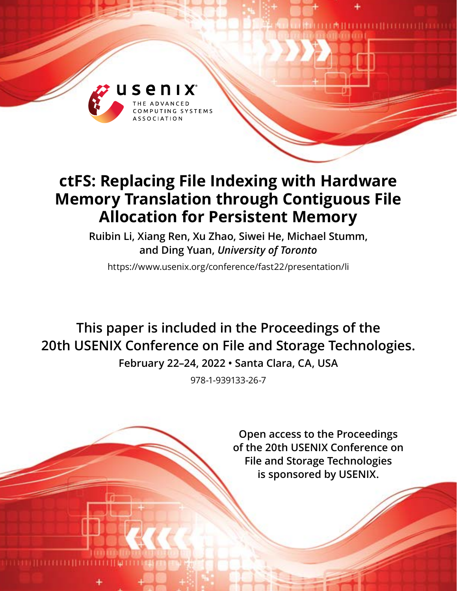

# **ctFS: Replacing File Indexing with Hardware Memory Translation through Contiguous File Allocation for Persistent Memory**

**Ruibin Li, Xiang Ren, Xu Zhao, Siwei He, Michael Stumm, and Ding Yuan,** *University of Toronto*

https://www.usenix.org/conference/fast22/presentation/li

**This paper is included in the Proceedings of the 20th USENIX Conference on File and Storage Technologies.**

**February 22–24, 2022 • Santa Clara, CA, USA**

978-1-939133-26-7

**Open access to the Proceedings of the 20th USENIX Conference on File and Storage Technologies is sponsored by USENIX.**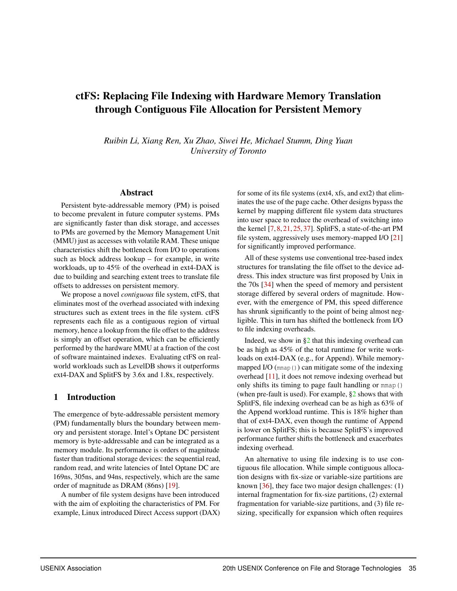## ctFS: Replacing File Indexing with Hardware Memory Translation through Contiguous File Allocation for Persistent Memory

*Ruibin Li, Xiang Ren, Xu Zhao, Siwei He, Michael Stumm, Ding Yuan University of Toronto*

#### Abstract

Persistent byte-addressable memory (PM) is poised to become prevalent in future computer systems. PMs are significantly faster than disk storage, and accesses to PMs are governed by the Memory Management Unit (MMU) just as accesses with volatile RAM. These unique characteristics shift the bottleneck from I/O to operations such as block address lookup – for example, in write workloads, up to 45% of the overhead in ext4-DAX is due to building and searching extent trees to translate file offsets to addresses on persistent memory.

We propose a novel *contiguous* file system, ctFS, that eliminates most of the overhead associated with indexing structures such as extent trees in the file system. ctFS represents each file as a contiguous region of virtual memory, hence a lookup from the file offset to the address is simply an offset operation, which can be efficiently performed by the hardware MMU at a fraction of the cost of software maintained indexes. Evaluating ctFS on realworld workloads such as LevelDB shows it outperforms ext4-DAX and SplitFS by 3.6x and 1.8x, respectively.

#### 1 Introduction

The emergence of byte-addressable persistent memory (PM) fundamentally blurs the boundary between memory and persistent storage. Intel's Optane DC persistent memory is byte-addressable and can be integrated as a memory module. Its performance is orders of magnitude faster than traditional storage devices: the sequential read, random read, and write latencies of Intel Optane DC are 169ns, 305ns, and 94ns, respectively, which are the same order of magnitude as DRAM (86ns) [\[19\]](#page-14-0).

A number of file system designs have been introduced with the aim of exploiting the characteristics of PM. For example, Linux introduced Direct Access support (DAX)

for some of its file systems (ext4, xfs, and ext2) that eliminates the use of the page cache. Other designs bypass the kernel by mapping different file system data structures into user space to reduce the overhead of switching into the kernel [\[7,](#page-14-1) [8,](#page-14-2) [21,](#page-14-3) [25,](#page-14-4) [37\]](#page-15-0). SplitFS, a state-of-the-art PM file system, aggressively uses memory-mapped I/O [\[21\]](#page-14-3) for significantly improved performance.

All of these systems use conventional tree-based index structures for translating the file offset to the device address. This index structure was first proposed by Unix in the 70s [\[34\]](#page-15-1) when the speed of memory and persistent storage differed by several orders of magnitude. However, with the emergence of PM, this speed difference has shrunk significantly to the point of being almost negligible. This in turn has shifted the bottleneck from I/O to file indexing overheads.

Indeed, we show in  $\S2$  that this indexing overhead can be as high as 45% of the total runtime for write workloads on ext4-DAX (e.g., for Append). While memorymapped I/O (mmap()) can mitigate some of the indexing overhead [\[11\]](#page-14-5), it does not remove indexing overhead but only shifts its timing to page fault handling or mmap() (when pre-fault is used). For example,  $\S2$  shows that with SplitFS, file indexing overhead can be as high as 63% of the Append workload runtime. This is 18% higher than that of ext4-DAX, even though the runtime of Append is lower on SplitFS; this is because SplitFS's improved performance further shifts the bottleneck and exacerbates indexing overhead.

An alternative to using file indexing is to use contiguous file allocation. While simple contiguous allocation designs with fix-size or variable-size partitions are known  $[36]$ , they face two major design challenges: (1) internal fragmentation for fix-size partitions, (2) external fragmentation for variable-size partitions, and (3) file resizing, specifically for expansion which often requires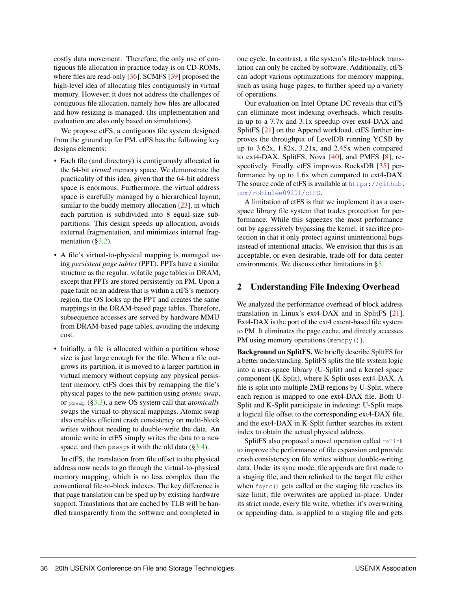costly data movement. Therefore, the only use of contiguous file allocation in practice today is on CD-ROMs, where files are read-only [\[36\]](#page-15-2). SCMFS [\[39\]](#page-15-3) proposed the high-level idea of allocating files contiguously in virtual memory. However, it does not address the challenges of contiguous file allocation, namely how files are allocated and how resizing is managed. (Its implementation and evaluation are also only based on simulations).

We propose ctFS, a contiguous file system designed from the ground up for PM. ctFS has the following key designs elements:

- Each file (and directory) is contiguously allocated in the 64-bit *virtual* memory space. We demonstrate the practicality of this idea, given that the 64-bit address space is enormous. Furthermore, the virtual address space is carefully managed by a hierarchical layout, similar to the buddy memory allocation [\[23\]](#page-14-6), in which each partition is subdivided into 8 equal-size subpartitions. This design speeds up allocation, avoids external fragmentation, and minimizes internal frag-mentation ([§3.2\)](#page-4-0).
- A file's virtual-to-physical mapping is managed using *persistent page tables* (PPT). PPTs have a similar structure as the regular, volatile page tables in DRAM, except that PPTs are stored persistently on PM. Upon a page fault on an address that is within a ctFS's memory region, the OS looks up the PPT and creates the same mappings in the DRAM-based page tables. Therefore, subsequence accesses are served by hardware MMU from DRAM-based page tables, avoiding the indexing cost.
- Initially, a file is allocated within a partition whose size is just large enough for the file. When a file outgrows its partition, it is moved to a larger partition in virtual memory without copying any physical persistent memory. ctFS does this by remapping the file's physical pages to the new partition using *atomic swap*, or pswap ([§3.3\)](#page-6-0), a new OS system call that *atomically* swaps the virtual-to-physical mappings. Atomic swap also enables efficient crash consistency on multi-block writes without needing to double-write the data. An atomic write in ctFS simply writes the data to a new space, and then pswaps it with the old data  $(\S3.4)$ .

In ctFS, the translation from file offset to the physical address now needs to go through the virtual-to-physical memory mapping, which is no less complex than the conventional file-to-block indexes. The key difference is that page translation can be sped up by existing hardware support. Translations that are cached by TLB will be handled transparently from the software and completed in

one cycle. In contrast, a file system's file-to-block translation can only be cached by software. Additionally, ctFS can adopt various optimizations for memory mapping, such as using huge pages, to further speed up a variety of operations.

Our evaluation on Intel Optane DC reveals that ctFS can eliminate most indexing overheads, which results in up to a 7.7x and 3.1x speedup over ext4-DAX and SplitFS [\[21\]](#page-14-3) on the Append workload. ctFS further improves the throughput of LevelDB running YCSB by up to 3.62x, 1.82x, 3.21x, and 2.45x when compared to ext4-DAX, SplitFS, Nova [\[40\]](#page-15-4), and PMFS [\[8\]](#page-14-2), respectively. Finally, ctFS improves RocksDB [\[35\]](#page-15-5) performance by up to 1.6x when compared to ext4-DAX. The source code of ctFS is available at [https://github.](https://github.com/robinlee09201/ctFS) [com/robinlee09201/ctFS](https://github.com/robinlee09201/ctFS).

A limitation of ctFS is that we implement it as a userspace library file system that trades protection for performance. While this squeezes the most performance out by aggressively bypassing the kernel, it sacrifice protection in that it only protect against unintentional bugs instead of intentional attacks. We envision that this is an acceptable, or even desirable, trade-off for data center environments. We discuss other limitations in [§5.](#page-12-0)

#### <span id="page-2-0"></span>2 Understanding File Indexing Overhead

We analyzed the performance overhead of block address translation in Linux's ext4-DAX and in SplitFS [\[21\]](#page-14-3). Ext4-DAX is the port of the ext4 extent-based file system to PM. It eliminates the page cache, and directly accesses PM using memory operations (memory ()).

Background on SplitFS. We briefly describe SplitFS for a better understanding. SplitFS splits the file system logic into a user-space library (U-Split) and a kernel space component (K-Split), where K-Split uses ext4-DAX. A file is split into multiple 2MB regions by U-Split, where each region is mapped to one ext4-DAX file. Both U-Split and K-Split participate in indexing: U-Split maps a logical file offset to the corresponding ext4-DAX file, and the ext4-DAX in K-Split further searches its extent index to obtain the actual physical address.

SplitFS also proposed a novel operation called relink to improve the performance of file expansion and provide crash consistency on file writes without double-writing data. Under its sync mode, file appends are first made to a staging file, and then relinked to the target file either when fsync() gets called or the staging file reaches its size limit; file overwrites are applied in-place. Under its strict mode, every file write, whether it's overwriting or appending data, is applied to a staging file and gets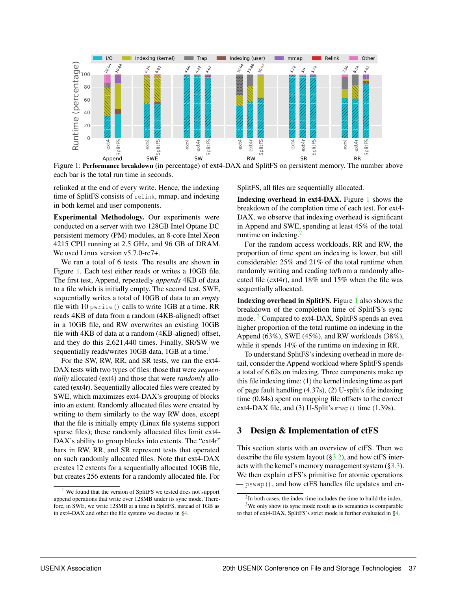

<span id="page-3-0"></span>Figure 1: Performance breakdown (in percentage) of ext4-DAX and SplitFS on persistent memory. The number above each bar is the total run time in seconds.

relinked at the end of every write. Hence, the indexing time of SplitFS consists of relink, mmap, and indexing in both kernel and user components.

Experimental Methodology. Our experiments were conducted on a server with two 128GB Intel Optane DC persistent memory (PM) modules, an 8-core Intel Xeon 4215 CPU running at 2.5 GHz, and 96 GB of DRAM. We used Linux version  $v$ 5.7.0-rc7+.

We ran a total of 6 tests. The results are shown in Figure [1.](#page-3-0) Each test either reads or writes a 10GB file. The first test, Append, repeatedly *appends* 4KB of data to a file which is initially empty. The second test, SWE, sequentially writes a total of 10GB of data to an *empty* file with 10 pwrite() calls to write 1GB at a time. RR reads 4KB of data from a random (4KB-aligned) offset in a 10GB file, and RW overwrites an existing 10GB file with 4KB of data at a random (4KB-aligned) offset, and they do this 2,621,440 times. Finally, SR/SW we sequentially reads/writes [1](#page-3-1)0GB data, 1GB at a time.<sup>1</sup>

For the SW, RW, RR, and SR tests, we ran the ext4- DAX tests with two types of files: those that were *sequentially* allocated (ext4) and those that were *randomly* allocated (ext4r). Sequentially allocated files were created by SWE, which maximizes ext4-DAX's grouping of blocks into an extent. Randomly allocated files were created by writing to them similarly to the way RW does, except that the file is initially empty (Linux file systems support sparse files); these randomly allocated files limit ext4- DAX's ability to group blocks into extents. The "ext4r" bars in RW, RR, and SR represent tests that operated on such randomly allocated files. Note that ext4-DAX creates 12 extents for a sequentially allocated 10GB file, but creates 256 extents for a randomly allocated file. For SplitFS, all files are sequentially allocated.

Indexing overhead in ext4-DAX. Figure [1](#page-3-0) shows the breakdown of the completion time of each test. For ext4- DAX, we observe that indexing overhead is significant in Append and SWE, spending at least 45% of the total runtime on indexing. $2$ 

For the random access workloads, RR and RW, the proportion of time spent on indexing is lower, but still considerable: 25% and 21% of the total runtime when randomly writing and reading to/from a randomly allocated file (ext4r), and 18% and 15% when the file was sequentially allocated.

Indexing overhead in SplitFS. Figure [1](#page-3-0) also shows the breakdown of the completion time of SplitFS's sync mode.<sup>[3](#page-3-3)</sup> Compared to ext4-DAX, SplitFS spends an even higher proportion of the total runtime on indexing in the Append (63%), SWE (45%), and RW workloads (38%), while it spends 14% of the runtime on indexing in RR.

To understand SplitFS's indexing overhead in more detail, consider the Append workload where SplitFS spends a total of 6.62s on indexing. Three components make up this file indexing time: (1) the kernel indexing time as part of page fault handling (4.37s), (2) U-split's file indexing time (0.84s) spent on mapping file offsets to the correct ext4-DAX file, and (3) U-Split's  $mmap()$  time (1.39s).

#### 3 Design & Implementation of ctFS

This section starts with an overview of ctFS. Then we describe the file system layout  $(\S3.2)$ , and how ctFS interacts with the kernel's memory management system  $(\S3.3)$ . We then explain ctFS's primitive for atomic operations  $-$  pswap(), and how ctFS handles file updates and en-

<span id="page-3-1"></span><sup>1</sup> We found that the version of SplitFS we tested does not support append operations that write over 128MB under its sync mode. Therefore, in SWE, we write 128MB at a time in SplitFS, instead of 1GB as in ext4-DAX and other the file systems we discuss in [§4.](#page-9-0)

<span id="page-3-3"></span><span id="page-3-2"></span> $2$ In both cases, the index time includes the time to build the index. <sup>3</sup>We only show its sync mode result as its semantics is comparable to that of ext4-DAX. SplitFS's strict mode is further evaluated in [§4.](#page-9-0)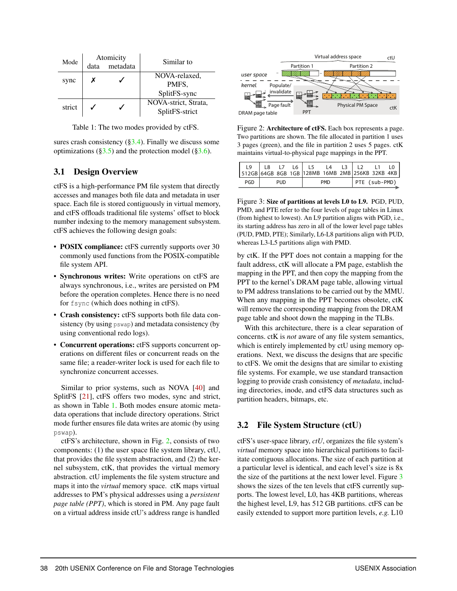| Mode   |      | Atomicity | Similar to           |  |
|--------|------|-----------|----------------------|--|
|        | data | metadata  |                      |  |
|        | х    |           | NOVA-relaxed,        |  |
| sync   |      |           | PMFS.                |  |
|        |      |           | SplitFS-sync         |  |
| strict |      |           | NOVA-strict, Strata, |  |
|        |      |           | SplitFS-strict       |  |

<span id="page-4-1"></span>Table 1: The two modes provided by ctFS.

sures crash consistency  $(\S3.4)$ . Finally we discuss some optimizations ( $\S3.5$ ) and the protection model ( $\S3.6$ ).

## 3.1 Design Overview

ctFS is a high-performance PM file system that directly accesses and manages both file data and metadata in user space. Each file is stored contiguously in virtual memory, and ctFS offloads traditional file systems' offset to block number indexing to the memory management subsystem. ctFS achieves the following design goals:

- POSIX compliance: ctFS currently supports over 30 commonly used functions from the POSIX-compatible file system API.
- Synchronous writes: Write operations on ctFS are always synchronous, i.e., writes are persisted on PM before the operation completes. Hence there is no need for fsync (which does nothing in ctFS).
- Crash consistency: ctFS supports both file data consistency (by using pswap) and metadata consistency (by using conventional redo logs).
- Concurrent operations: ctFS supports concurrent operations on different files or concurrent reads on the same file; a reader-writer lock is used for each file to synchronize concurrent accesses.

Similar to prior systems, such as NOVA [\[40\]](#page-15-4) and SplitFS [\[21\]](#page-14-3), ctFS offers two modes, sync and strict, as shown in Table [1.](#page-4-1) Both modes ensure atomic metadata operations that include directory operations. Strict mode further ensures file data writes are atomic (by using pswap).

ctFS's architecture, shown in Fig. [2,](#page-4-2) consists of two components: (1) the user space file system library, ctU, that provides the file system abstraction, and (2) the kernel subsystem, ctK, that provides the virtual memory abstraction. ctU implements the file system structure and maps it into the *virtual* memory space. ctK maps virtual addresses to PM's physical addresses using a *persistent page table (PPT)*, which is stored in PM. Any page fault on a virtual address inside ctU's address range is handled



<span id="page-4-2"></span>Figure 2: Architecture of ctFS. Each box represents a page. Two partitions are shown. The file allocated in partition 1 uses 3 pages (green), and the file in partition 2 uses 5 pages. ctK maintains virtual-to-physical page mappings in the PPT.

| $\overline{9}$<br>512GB 64GB 8GB 1GB 128MB 16MB 2MB 256KB 32KB 4KB | L8   |  | L6 I       | L5 | L4            |  |  |  |  |
|--------------------------------------------------------------------|------|--|------------|----|---------------|--|--|--|--|
| PGD                                                                | PIID |  | <b>PMD</b> |    | PTE (sub-PMD) |  |  |  |  |

<span id="page-4-3"></span>Figure 3: Size of partitions at levels L0 to L9. PGD, PUD, PMD, and PTE refer to the four levels of page tables in Linux (from highest to lowest). An L9 partition aligns with PGD, i.e., its starting address has zero in all of the lower level page tables (PUD, PMD, PTE); Similarly, L6-L8 partitions align with PUD, whereas L3-L5 partitions align with PMD.

by ctK. If the PPT does not contain a mapping for the fault address, ctK will allocate a PM page, establish the mapping in the PPT, and then copy the mapping from the PPT to the kernel's DRAM page table, allowing virtual to PM address translations to be carried out by the MMU. When any mapping in the PPT becomes obsolete, ctK will remove the corresponding mapping from the DRAM page table and shoot down the mapping in the TLBs.

With this architecture, there is a clear separation of concerns. ctK is *not* aware of any file system semantics, which is entirely implemented by ctU using memory operations. Next, we discuss the designs that are specific to ctFS. We omit the designs that are similar to existing file systems. For example, we use standard transaction logging to provide crash consistency of *metadata*, including directories, inode, and ctFS data structures such as partition headers, bitmaps, etc.

## <span id="page-4-0"></span>3.2 File System Structure (ctU)

ctFS's user-space library, *ctU*, organizes the file system's *virtual* memory space into hierarchical partitions to facilitate contiguous allocations. The size of each partition at a particular level is identical, and each level's size is 8x the size of the partitions at the next lower level. Figure [3](#page-4-3) shows the sizes of the ten levels that ctFS currently supports. The lowest level, L0, has 4KB partitions, whereas the highest level, L9, has 512 GB partitions. ctFS can be easily extended to support more partition levels, *e.g.* L10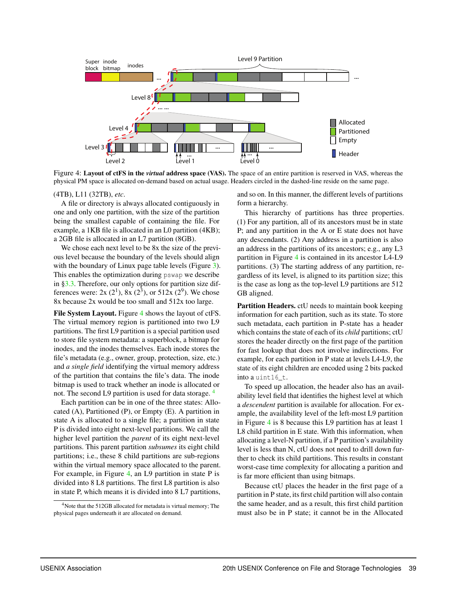

<span id="page-5-0"></span>Figure 4: Layout of ctFS in the *virtual* address space (VAS). The space of an entire partition is reserved in VAS, whereas the physical PM space is allocated on-demand based on actual usage. Headers circled in the dashed-line reside on the same page.

#### (4TB), L11 (32TB), *etc*.

A file or directory is always allocated contiguously in one and only one partition, with the size of the partition being the smallest capable of containing the file. For example, a 1KB file is allocated in an L0 partition (4KB); a 2GB file is allocated in an L7 partition (8GB).

We chose each next level to be 8x the size of the previous level because the boundary of the levels should align with the boundary of Linux page table levels (Figure [3\)](#page-4-3). This enables the optimization during pswap we describe in  $\S 3.3$ . Therefore, our only options for partition size differences were:  $2x(2^1)$ ,  $8x(2^3)$ , or  $512x(2^9)$ . We chose 8x because 2x would be too small and 512x too large.

File System Layout. Figure [4](#page-5-0) shows the layout of ctFS. The virtual memory region is partitioned into two L9 partitions. The first L9 partition is a special partition used to store file system metadata: a superblock, a bitmap for inodes, and the inodes themselves. Each inode stores the file's metadata (e.g., owner, group, protection, size, etc.) and *a single field* identifying the virtual memory address of the partition that contains the file's data. The inode bitmap is used to track whether an inode is allocated or not. The second L9 partition is used for data storage. <sup>[4](#page-5-1)</sup>

Each partition can be in one of the three states: Allocated  $(A)$ , Partitioned  $(P)$ , or Empty  $(E)$ . A partition in state A is allocated to a single file; a partition in state P is divided into eight next-level partitions. We call the higher level partition the *parent* of its eight next-level partitions. This parent partition *subsumes* its eight child partitions; i.e., these 8 child partitions are sub-regions within the virtual memory space allocated to the parent. For example, in Figure [4,](#page-5-0) an L9 partition in state P is divided into 8 L8 partitions. The first L8 partition is also in state P, which means it is divided into 8 L7 partitions, and so on. In this manner, the different levels of partitions form a hierarchy.

This hierarchy of partitions has three properties. (1) For any partition, all of its ancestors must be in state P; and any partition in the A or E state does not have any descendants. (2) Any address in a partition is also an address in the partitions of its ancestors; e.g., any L3 partition in Figure [4](#page-5-0) is contained in its ancestor L4-L9 partitions. (3) The starting address of any partition, regardless of its level, is aligned to its partition size; this is the case as long as the top-level L9 partitions are 512 GB aligned.

Partition Headers. ctU needs to maintain book keeping information for each partition, such as its state. To store such metadata, each partition in P-state has a header which contains the state of each of its *child* partitions; ctU stores the header directly on the first page of the partition for fast lookup that does not involve indirections. For example, for each partition in P state at levels L4-L9, the state of its eight children are encoded using 2 bits packed into a uint16\_t.

To speed up allocation, the header also has an availability level field that identifies the highest level at which a *descendent* partition is available for allocation. For example, the availability level of the left-most L9 partition in Figure [4](#page-5-0) is 8 because this L9 partition has at least 1 L8 child partition in E state. With this information, when allocating a level-N partition, if a P partition's availability level is less than N, ctU does not need to drill down further to check its child partitions. This results in constant worst-case time complexity for allocating a parition and is far more efficient than using bitmaps.

Because ctU places the header in the first page of a partition in P state, its first child partition will also contain the same header, and as a result, this first child partition must also be in P state; it cannot be in the Allocated

<span id="page-5-1"></span><sup>4</sup>Note that the 512GB allocated for metadata is virtual memory; The physical pages underneath it are allocated on demand.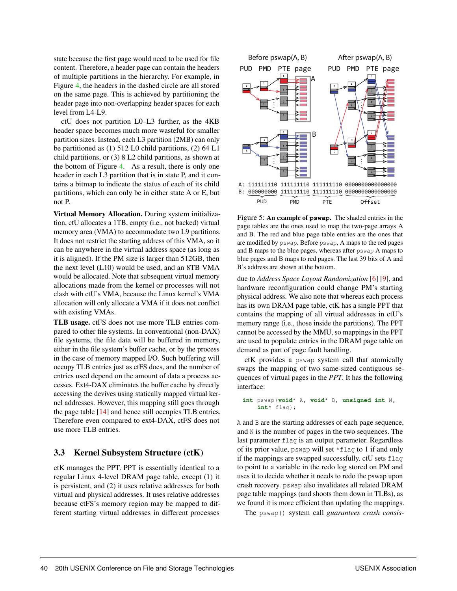state because the first page would need to be used for file content. Therefore, a header page can contain the headers of multiple partitions in the hierarchy. For example, in Figure [4,](#page-5-0) the headers in the dashed circle are all stored on the same page. This is achieved by partitioning the header page into non-overlapping header spaces for each level from L4-L9.

ctU does not partition L0–L3 further, as the 4KB header space becomes much more wasteful for smaller partition sizes. Instead, each L3 partition (2MB) can only be partitioned as (1) 512 L0 child partitions, (2) 64 L1 child partitions, or (3) 8 L2 child paritions, as shown at the bottom of Figure [4.](#page-5-0) As a result, there is only one header in each L3 partition that is in state P, and it contains a bitmap to indicate the status of each of its child partitions, which can only be in either state A or E, but not P.

Virtual Memory Allocation. During system initialization, ctU allocates a 1TB, empty (i.e., not backed) virtual memory area (VMA) to accommodate two L9 partitions. It does not restrict the starting address of this VMA, so it can be anywhere in the virtual address space (as long as it is aligned). If the PM size is larger than 512GB, then the next level (L10) would be used, and an 8TB VMA would be allocated. Note that subsequent virtual memory allocations made from the kernel or processes will not clash with ctU's VMA, because the Linux kernel's VMA allocation will only allocate a VMA if it does not conflict with existing VMAs.

TLB usage. ctFS does not use more TLB entries compared to other file systems. In conventional (non-DAX) file systems, the file data will be buffered in memory, either in the file system's buffer cache, or by the process in the case of memory mapped I/O. Such buffering will occupy TLB entries just as ctFS does, and the number of entries used depend on the amount of data a process accesses. Ext4-DAX eliminates the buffer cache by directly accessing the devives using statically mapped virtual kernel addresses. However, this mapping still goes through the page table [\[14\]](#page-14-7) and hence still occupies TLB entries. Therefore even compared to ext4-DAX, ctFS does not use more TLB entries.

#### <span id="page-6-0"></span>3.3 Kernel Subsystem Structure (ctK)

ctK manages the PPT. PPT is essentially identical to a regular Linux 4-level DRAM page table, except (1) it is persistent, and (2) it uses relative addresses for both virtual and physical addresses. It uses relative addresses because ctFS's memory region may be mapped to different starting virtual addresses in different processes



<span id="page-6-1"></span>Figure 5: An example of **pswap**. The shaded entries in the page tables are the ones used to map the two-page arrays A and B. The red and blue page table entries are the ones that are modified by pswap. Before pswap, A maps to the red pages and B maps to the blue pages, whereas after pswap A maps to blue pages and B maps to red pages. The last 39 bits of A and B's address are shown at the bottom.

due to *Address Space Layout Randomization* [\[6\]](#page-14-8) [\[9\]](#page-14-9), and hardware reconfiguration could change PM's starting physical address. We also note that whereas each process has its own DRAM page table, ctK has a single PPT that contains the mapping of all virtual addresses in ctU's memory range (i.e., those inside the partitions). The PPT cannot be accessed by the MMU, so mappings in the PPT are used to populate entries in the DRAM page table on demand as part of page fault handling.

ctK provides a pswap system call that atomically swaps the mapping of two same-sized contiguous sequences of virtual pages in the *PPT*. It has the following interface:

```
int pswap(void* A, void* B, unsigned int N,
int* flag);
```
A and B are the starting addresses of each page sequence, and N is the number of pages in the two sequences. The last parameter flag is an output parameter. Regardless of its prior value, pswap will set \*flag to 1 if and only if the mappings are swapped successfully. ctU sets flag to point to a variable in the redo log stored on PM and uses it to decide whether it needs to redo the pswap upon crash recovery. pswap also invalidates all related DRAM page table mappings (and shoots them down in TLBs), as we found it is more efficient than updating the mappings.

The pswap() system call *guarantees crash consis-*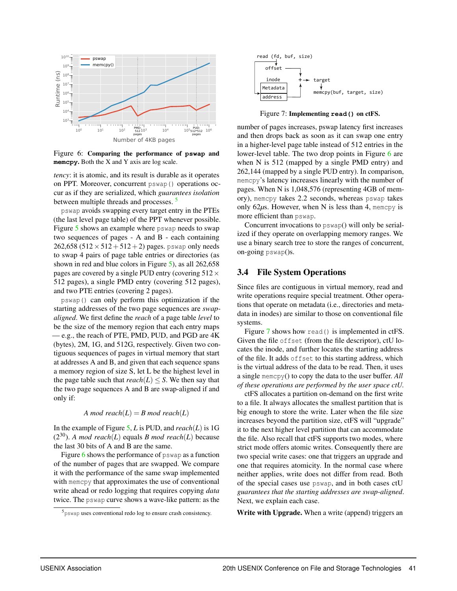

<span id="page-7-2"></span>Figure 6: Comparing the performance of **pswap** and **memcpy**. Both the X and Y axis are log scale.

*tency*: it is atomic, and its result is durable as it operates on PPT. Moreover, concurrent pswap() operations occur as if they are serialized, which *guarantees isolation* between multiple threads and processes. [5](#page-7-1)

pswap avoids swapping every target entry in the PTEs (the last level page table) of the PPT whenever possible. Figure [5](#page-6-1) shows an example where pswap needs to swap two sequences of pages - A and B - each containing 262,658 (512  $\times$  512 + 512 + 2) pages. pswap only needs to swap 4 pairs of page table entries or directories (as shown in red and blue colors in Figure [5\)](#page-6-1), as all 262,658 pages are covered by a single PUD entry (covering  $512 \times$ 512 pages), a single PMD entry (covering 512 pages), and two PTE entries (covering 2 pages).

pswap() can only perform this optimization if the starting addresses of the two page sequences are *swapaligned*. We first define the *reach* of a page table *level* to be the size of the memory region that each entry maps — e.g., the reach of PTE, PMD, PUD, and PGD are 4K (bytes), 2M, 1G, and 512G, respectively. Given two contiguous sequences of pages in virtual memory that start at addresses A and B, and given that each sequence spans a memory region of size S, let L be the highest level in the page table such that  $reach(L) \leq S$ . We then say that the two page sequences A and B are swap-aligned if and only if: For the same of the same of the same of the same of the same of the same of the same of the same of the same of the same of the same of the same of the same of the same of the same of the same of the same of the same of t

#### *A* mod reach( $L$ ) = *B* mod reach( $L$ )

In the example of Figure [5,](#page-6-1) *L* is PUD, and *reach*(*L*) is 1G  $(2^{30})$ . *A mod reach* $(L)$  equals *B mod reach* $(L)$  because the last 30 bits of A and B are the same.

Figure [6](#page-7-2) shows the performance of pswap as a function of the number of pages that are swapped. We compare it with the performance of the same swap implemented with memcpy that approximates the use of conventional write ahead or redo logging that requires copying *data* twice. The pswap curve shows a wave-like pattern: as the



<span id="page-7-3"></span>Figure 7: Implementing **read()** on ctFS.

number of pages increases, pswap latency first increases and then drops back as soon as it can swap one entry in a higher-level page table instead of 512 entries in the lower-level table. The two drop points in Figure [6](#page-7-2) are when N is 512 (mapped by a single PMD entry) and 262,144 (mapped by a single PUD entry). In comparison, memcpy's latency increases linearly with the number of pages. When N is 1,048,576 (representing 4GB of memory), memcpy takes 2.2 seconds, whereas pswap takes only 62*µ*s. However, when N is less than 4, memcpy is more efficient than pswap.

Concurrent invocations to pswap() will only be serialized if they operate on overlapping memory ranges. We use a binary search tree to store the ranges of concurrent, on-going pswap()s.

#### <span id="page-7-0"></span>3.4 File System Operations

Since files are contiguous in virtual memory, read and write operations require special treatment. Other operations that operate on metadata (i.e., directories and metadata in inodes) are similar to those on conventional file systems.

Figure [7](#page-7-3) shows how read() is implemented in ctFS. Given the file offset (from the file descriptor), ctU locates the inode, and further locates the starting address of the file. It adds offset to this starting address, which is the virtual address of the data to be read. Then, it uses a single memcpy() to copy the data to the user buffer. *All of these operations are performed by the user space ctU.*

ctFS allocates a partition on-demand on the first write to a file. It always allocates the smallest partition that is big enough to store the write. Later when the file size increases beyond the partition size, ctFS will "upgrade" it to the next higher level partition that can accommodate the file. Also recall that ctFS supports two modes, where strict mode offers atomic writes. Consequently there are two special write cases: one that triggers an upgrade and one that requires atomicity. In the normal case where neither applies, write does not differ from read. Both of the special cases use pswap, and in both cases ctU *guarantees that the starting addresses are swap-aligned*. Next, we explain each case.

Write with Upgrade. When a write (append) triggers an

<span id="page-7-1"></span>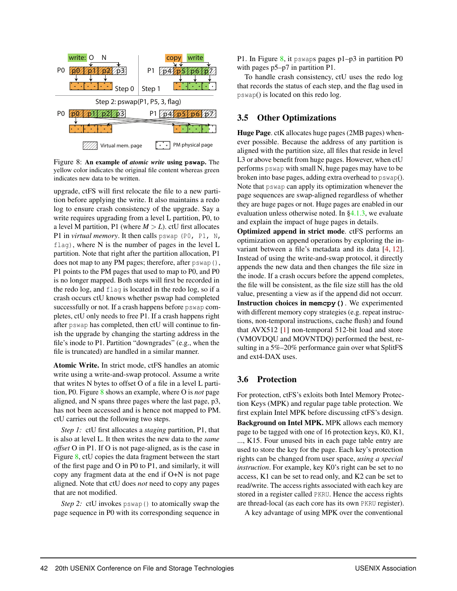

<span id="page-8-2"></span>Figure 8: An example of *atomic write* using **pswap**. The yellow color indicates the original file content whereas green indicates new data to be written.

upgrade, ctFS will first relocate the file to a new partition before applying the write. It also maintains a redo log to ensure crash consistency of the upgrade. Say a write requires upgrading from a level L partition, P0, to a level M partition, P1 (where  $M > L$ ). ctU first allocates P1 in *virtual memory*. It then calls pswap (P0, P1, N,  $f$ lag), where N is the number of pages in the level L partition. Note that right after the partition allocation, P1 does not map to any PM pages; therefore, after pswap(), P1 points to the PM pages that used to map to P0, and P0 is no longer mapped. Both steps will first be recorded in the redo log, and flag is located in the redo log, so if a crash occurs ctU knows whether pswap had completed successfully or not. If a crash happens before pswap completes, ctU only needs to free P1. If a crash happens right after pswap has completed, then ctU will continue to finish the upgrade by changing the starting address in the file's inode to P1. Partition "downgrades" (e.g., when the file is truncated) are handled in a similar manner.

Atomic Write. In strict mode, ctFS handles an atomic write using a write-and-swap protocol. Assume a write that writes N bytes to offset O of a file in a level L partition, P0. Figure [8](#page-8-2) shows an example, where O is *not* page aligned, and N spans three pages where the last page, p3, has not been accessed and is hence not mapped to PM. ctU carries out the following two steps.

*Step 1:* ctU first allocates a *staging* partition, P1, that is also at level L. It then writes the new data to the *same offset* O in P1. If O is not page-aligned, as is the case in Figure [8,](#page-8-2) ctU copies the data fragment between the start of the first page and O in P0 to P1, and similarly, it will copy any fragment data at the end if O+N is not page aligned. Note that ctU does *not* need to copy any pages that are not modified.

*Step 2:* ctU invokes pswap() to atomically swap the page sequence in P0 with its corresponding sequence in

P1. In Figure [8,](#page-8-2) it pswaps pages  $p1-p3$  in partition P0 with pages  $p5-p7$  in partition P1.

To handle crash consistency, ctU uses the redo log that records the status of each step, and the flag used in pswap() is located on this redo log.

#### <span id="page-8-0"></span>3.5 Other Optimizations

Huge Page. ctK allocates huge pages (2MB pages) whenever possible. Because the address of any partition is aligned with the partition size, all files that reside in level L3 or above benefit from huge pages. However, when ctU performs pswap with small N, huge pages may have to be broken into base pages, adding extra overhead to pswap(). Note that pswap can apply its optimization whenever the page sequences are swap-aligned regardless of whether they are huge pages or not. Huge pages are enabled in our evaluation unless otherwise noted. In  $\S 4.1.3$ , we evaluate and explain the impact of huge pages in details.

Optimized append in strict mode. ctFS performs an optimization on append operations by exploring the invariant between a file's metadata and its data [\[4,](#page-14-10) [12\]](#page-14-11). Instead of using the write-and-swap protocol, it directly appends the new data and then changes the file size in the inode. If a crash occurs before the append completes, the file will be consistent, as the file size still has the old value, presenting a view as if the append did not occurr. Instruction choices in **memcpy()**. We experimented with different memory copy strategies (e.g. repeat instructions, non-temporal instructions, cache flush) and found that AVX512 [\[1\]](#page-14-12) non-temporal 512-bit load and store (VMOVDQU and MOVNTDQ) performed the best, resulting in a 5%–20% performance gain over what SplitFS and ext4-DAX uses.

#### <span id="page-8-1"></span>3.6 Protection

For protection, ctFS's exloits both Intel Memory Protection Keys (MPK) and regular page table protection. We first explain Intel MPK before discussing ctFS's design. Background on Intel MPK. MPK allows each memory page to be tagged with one of 16 protection keys, K0, K1, ..., K15. Four unused bits in each page table entry are used to store the key for the page. Each key's protection rights can be changed from user space, *using a special instruction*. For example, key K0's right can be set to no access, K1 can be set to read only, and K2 can be set to read/write. The access rights associated with each key are stored in a register called PKRU. Hence the access rights are thread-local (as each core has its own PKRU register).

A key advantage of using MPK over the conventional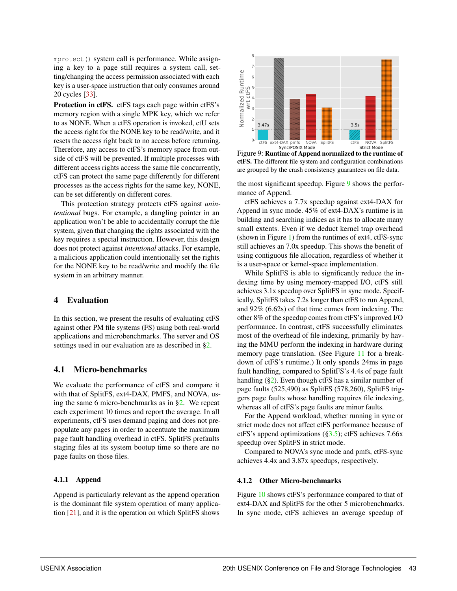mprotect() system call is performance. While assigning a key to a page still requires a system call, setting/changing the access permission associated with each key is a user-space instruction that only consumes around 20 cycles [\[33\]](#page-15-6).

Protection in ctFS. ctFS tags each page within ctFS's memory region with a single MPK key, which we refer to as NONE. When a ctFS operation is invoked, ctU sets the access right for the NONE key to be read/write, and it resets the access right back to no access before returning. Therefore, any access to ctFS's memory space from outside of ctFS will be prevented. If multiple processes with different access rights access the same file concurrently, ctFS can protect the same page differently for different processes as the access rights for the same key, NONE, can be set differently on different cores.

This protection strategy protects ctFS against *unintentional* bugs. For example, a dangling pointer in an application won't be able to accidentally corrupt the file system, given that changing the rights associated with the key requires a special instruction. However, this design does not protect against *intentional* attacks. For example, a malicious application could intentionally set the rights for the NONE key to be read/write and modify the file system in an arbitrary manner.

#### <span id="page-9-0"></span>4 Evaluation

In this section, we present the results of evaluating ctFS against other PM file systems (FS) using both real-world applications and microbenchmarks. The server and OS settings used in our evaluation are as described in [§2.](#page-2-0)

#### 4.1 Micro-benchmarks

We evaluate the performance of ctFS and compare it with that of SplitFS, ext4-DAX, PMFS, and NOVA, using the same 6 micro-benchmarks as in [§2.](#page-2-0) We repeat each experiment 10 times and report the average. In all experiments, ctFS uses demand paging and does not prepopulate any pages in order to accentuate the maximum page fault handling overhead in ctFS. SplitFS prefaults staging files at its system bootup time so there are no page faults on those files.

#### 4.1.1 Append

Append is particularly relevant as the append operation is the dominant file system operation of many application [\[21\]](#page-14-3), and it is the operation on which SplitFS shows



<span id="page-9-1"></span>Figure 9: Runtime of Append normalized to the runtime of ctFS. The different file system and configuration combinations are grouped by the crash consistency guarantees on file data.

the most significant speedup. Figure [9](#page-9-1) shows the performance of Append.

ctFS achieves a 7.7x speedup against ext4-DAX for Append in sync mode. 45% of ext4-DAX's runtime is in building and searching indices as it has to allocate many small extents. Even if we deduct kernel trap overhead (shown in Figure [1\)](#page-3-0) from the runtimes of ext4, ctFS-sync still achieves an 7.0x speedup. This shows the benefit of using contiguous file allocation, regardless of whether it is a user-space or kernel-space implementation.

While SplitFS is able to significantly reduce the indexing time by using memory-mapped I/O, ctFS still achieves 3.1x speedup over SplitFS in sync mode. Specifically, SplitFS takes 7.2s longer than ctFS to run Append, and 92% (6.62s) of that time comes from indexing. The other 8% of the speedup comes from ctFS's improved I/O performance. In contrast, ctFS successfully eliminates most of the overhead of file indexing, primarily by having the MMU perform the indexing in hardware during memory page translation. (See Figure [11](#page-10-1) for a breakdown of ctFS's runtime.) It only spends 24ms in page fault handling, compared to SplitFS's 4.4s of page fault handling  $(\S_2)$ . Even though ctFS has a similar number of page faults (525,490) as SplitFS (578,260), SplitFS triggers page faults whose handling requires file indexing, whereas all of ctFS's page faults are minor faults.

For the Append workload, whether running in sync or strict mode does not affect ctFS performance because of ctFS's append optimizations  $(\S3.5)$ ; ctFS achieves 7.66x speedup over SplitFS in strict mode.

Compared to NOVA's sync mode and pmfs, ctFS-sync achieves 4.4x and 3.87x speedups, respectively.

#### 4.1.2 Other Micro-benchmarks

Figure [10](#page-10-2) shows ctFS's performance compared to that of ext4-DAX and SplitFS for the other 5 microbenchmarks. In sync mode, ctFS achieves an average speedup of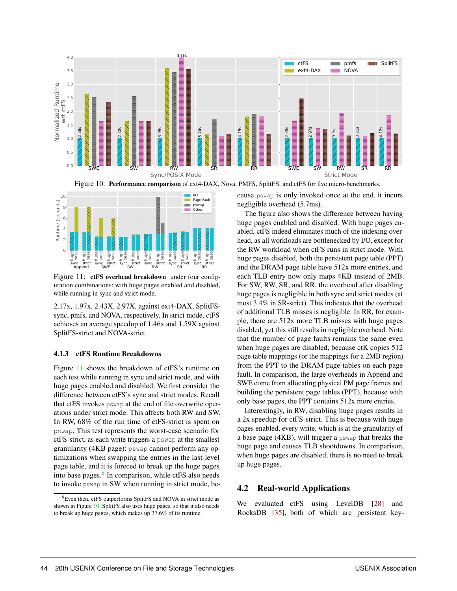

<span id="page-10-2"></span>Figure 10: Performance comparison of ext4-DAX, Nova, PMFS, SplitFS, and ctFS for five micro-benchmarks.



<span id="page-10-1"></span>Figure 11: **ctFS** overhead breakdown under four configuration combinations: with huge pages enabled and disabled, while running in sync and strict mode.

2.17x, 1.97x, 2.43X, 2.97X, against ext4-DAX, SplitFSsync, pmfs, and NOVA, respectively. In strict mode, ctFS achieves an average speedup of 1.46x and 1.59X against SplitFS-strict and NOVA-strict.

#### <span id="page-10-0"></span>4.1.3 ctFS Runtime Breakdowns

Figure [11](#page-10-1) shows the breakdown of ctFS's runtime on each test while running in sync and strict mode, and with huge pages enabled and disabled. We first consider the difference between ctFS's sync and strict modes. Recall that ctFS invokes pswap at the end of file overwrite operations under strict mode. This affects both RW and SW. In RW, 68% of the run time of ctFS-strict is spent on pswap. This test represents the worst-case scenario for ctFS-strict, as each write triggers a pswap at the smallest granularity (4KB page): pswap cannot perform any optimizations when swapping the entries in the last-level page table, and it is foreced to break up the huge pages into base pages.<sup>[6](#page-10-3)</sup> In comparison, while ctFS also needs to invoke pswap in SW when running in strict mode, because pswap is only invoked once at the end, it incurs negligible overhead (5.7ms).

The figure also shows the difference between having huge pages enabled and disabled. With huge pages enabled, ctFS indeed eliminates much of the indexing overhead, as all workloads are bottlenecked by I/O, except for the RW workload when ctFS runs in strict mode. With huge pages disabled, both the persistent page table (PPT) and the DRAM page table have 512x more entries, and each TLB entry now only maps 4KB instead of 2MB. For SW, RW, SR, and RR, the overhead after disabling huge pages is negligible in both sync and strict modes (at most 3.4% in SR-strict). This indicates that the overhead of additional TLB misses is negligible. In RR, for example, there are 512x more TLB misses with huge pages disabled, yet this still results in negligible overhead. Note that the number of page faults remains the same even when huge pages are disabled, because ctK copies 512 page table mappings (or the mappings for a 2MB region) from the PPT to the DRAM page tables on each page fault. In comparison, the large overheads in Append and SWE come from allocating physical PM page frames and building the persistent page tables (PPT), because with only base pages, the PPT contains 512x more entries.

Interestingly, in RW, disabling huge pages results in a 2x speedup for ctFS-strict. This is because with huge pages enabled, every write, which is at the granularity of a base page (4KB), will trigger a pswap that breaks the huge page and causes TLB shootdowns. In comparison, when huge pages are disabled, there is no need to break up huge pages.

#### 4.2 Real-world Applications

We evaluated ctFS using LevelDB [\[28\]](#page-14-13) and RocksDB [\[35\]](#page-15-5), both of which are persistent key-

<span id="page-10-3"></span><sup>6</sup>Even then, ctFS outperforms SplitFS and NOVA in strict mode as shown in Figure [10.](#page-10-2) SplitFS also uses huge pages, so that it also needs to break up huge pages, which makes up 37.6% of its runtime.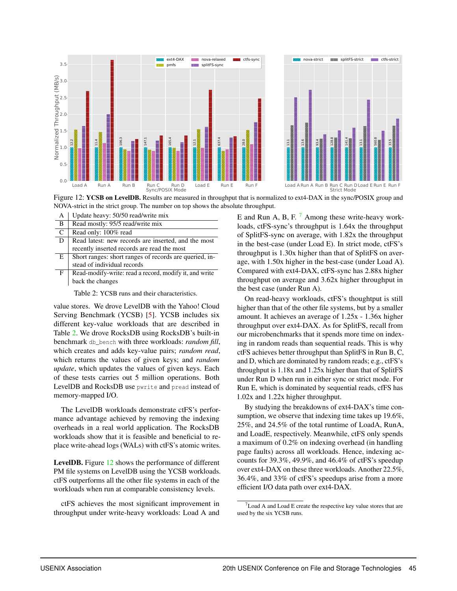

<span id="page-11-1"></span>Figure 12: YCSB on LevelDB. Results are measured in throughput that is normalized to ext4-DAX in the sync/POSIX group and NOVA-strict in the strict group. The number on top shows the absolute throughput.

| А | Update heavy: 50/50 read/write mix                     |
|---|--------------------------------------------------------|
| B | Read mostly: 95/5 read/write mix                       |
| C | Read only: 100% read                                   |
| D | Read latest: new records are inserted, and the most    |
|   | recently inserted records are read the most            |
| Е | Short ranges: short ranges of records are queried, in- |
|   | stead of individual records                            |
| F | Read-modify-write: read a record, modify it, and write |
|   | back the changes                                       |

<span id="page-11-0"></span>Table 2: YCSB runs and their characteristics.

value stores. We drove LevelDB with the Yahoo! Cloud Serving Benchmark (YCSB) [\[5\]](#page-14-14). YCSB includes six different key-value workloads that are described in Table [2.](#page-11-0) We drove RocksDB using RocksDB's built-in benchmark db\_bench with three workloads: *random fill*, which creates and adds key-value pairs; *random read*, which returns the values of given keys; and *random update*, which updates the values of given keys. Each of these tests carries out 5 million operations. Both LevelDB and RocksDB use pwrite and pread instead of memory-mapped I/O.

The LevelDB workloads demonstrate ctFS's performance advantage achieved by removing the indexing overheads in a real world application. The RocksDB workloads show that it is feasible and beneficial to replace write-ahead logs (WALs) with ctFS's atomic writes.

LevelDB. Figure [12](#page-11-1) shows the performance of different PM file systems on LevelDB using the YCSB workloads. ctFS outperforms all the other file systems in each of the workloads when run at comparable consistency levels.

ctFS achieves the most significant improvement in throughput under write-heavy workloads: Load A and E and Run A, B, F.  $<sup>7</sup>$  $<sup>7</sup>$  $<sup>7</sup>$  Among these write-heavy work-</sup> loads, ctFS-sync's throughput is 1.64x the throughput of SplitFS-sync on average, with 1.82x the throughput in the best-case (under Load E). In strict mode, ctFS's throughput is 1.30x higher than that of SplitFS on average, with 1.50x higher in the best-case (under Load A). Compared with ext4-DAX, ctFS-sync has 2.88x higher throughput on average and 3.62x higher throughput in the best case (under Run A).

On read-heavy workloads, ctFS's thoughtput is still higher than that of the other file systems, but by a smaller amount. It achieves an average of 1.25x - 1.36x higher throughput over ext4-DAX. As for SplitFS, recall from our microbenchmarks that it spends more time on indexing in random reads than sequential reads. This is why ctFS achieves better throughput than SplitFS in Run B, C, and D, which are dominated by random reads; e.g., ctFS's throughput is 1.18x and 1.25x higher than that of SplitFS under Run D when run in either sync or strict mode. For Run E, which is dominated by sequential reads, cfFS has 1.02x and 1.22x higher throughput.

By studying the breakdowns of ext4-DAX's time consumption, we observe that indexing time takes up 19.6%, 25%, and 24.5% of the total runtime of LoadA, RunA, and LoadE, respectively. Meanwhile, ctFS only spends a maximum of 0.2% on indexing overhead (in handling page faults) across all workloads. Hence, indexing accounts for 39.3%, 49.9%, and 46.4% of ctFS's speedup over ext4-DAX on these three workloads. Another 22.5%, 36.4%, and 33% of ctFS's speedups arise from a more efficient I/O data path over ext4-DAX.

<span id="page-11-2"></span> $7$ Load A and Load E create the respective key value stores that are used by the six YCSB runs.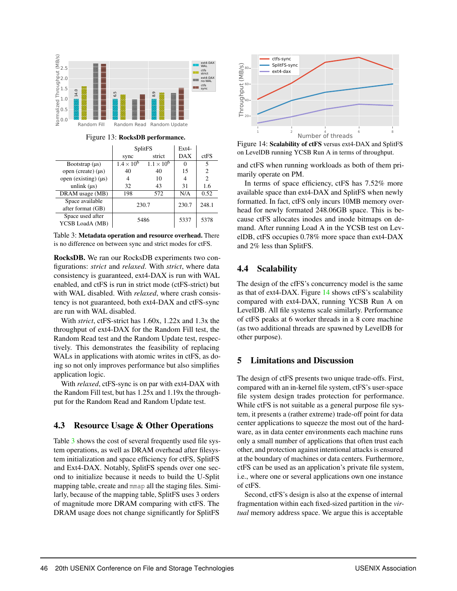

Figure 13: RocksDB performance.

|                                      |                     | SplitFS             | Ex <sub>14</sub> |       |
|--------------------------------------|---------------------|---------------------|------------------|-------|
|                                      | sync                | strict              | <b>DAX</b>       | ctFS  |
| Bootstrap $(\mu s)$                  | $1.4 \times 10^{6}$ | $1.1 \times 10^{6}$ |                  | 5     |
| open (create) $(\mu s)$              | 40                  | 40                  | 15               | 2     |
| open (existing) $(\mu s)$            |                     | 10                  |                  | 2     |
| unlink $(\mu s)$                     | 32                  | 43                  | 31               | 1.6   |
| DRAM usage (MB)                      | 198                 | 572                 | N/A              | 0.52  |
| Space available<br>after format (GB) | 230.7               |                     | 230.7            | 248.1 |
| Space used after<br>YCSB LoadA (MB)  | 5486                |                     | 5337             | 5378  |

<span id="page-12-1"></span>Table 3: Metadata operation and resource overhead. There is no difference on between sync and strict modes for ctFS.

RocksDB. We ran our RocksDB experiments two configurations: *strict* and *relaxed*. With *strict*, where data consistency is guaranteed, ext4-DAX is run with WAL enabled, and ctFS is run in strict mode (ctFS-strict) but with WAL disabled. With *relaxed*, where crash consistency is not guaranteed, both ext4-DAX and ctFS-sync are run with WAL disabled.

With *strict*, ctFS-strict has 1.60x, 1.22x and 1.3x the throughput of ext4-DAX for the Random Fill test, the Random Read test and the Random Update test, respectively. This demonstrates the feasibility of replacing WALs in applications with atomic writes in ctFS, as doing so not only improves performance but also simplifies application logic.

With *relaxed*, ctFS-sync is on par with ext4-DAX with the Random Fill test, but has 1.25x and 1.19x the throughput for the Random Read and Random Update test.

## 4.3 Resource Usage & Other Operations

Table [3](#page-12-1) shows the cost of several frequently used file system operations, as well as DRAM overhead after filesystem initialization and space efficiency for ctFS, SplitFS and Ext4-DAX. Notably, SplitFS spends over one second to initialize because it needs to build the U-Split mapping table, create and mmap all the staging files. Similarly, because of the mapping table, SplitFS uses 3 orders of magnitude more DRAM comparing with ctFS. The DRAM usage does not change significantly for SplitFS



<span id="page-12-2"></span>Figure 14: Scalability of ctFS versus ext4-DAX and SplitFS on LevelDB running YCSB Run A in terms of throughput.

and ctFS when running workloads as both of them primarily operate on PM.

In terms of space efficiency, ctFS has 7.52% more available space than ext4-DAX and SplitFS when newly formatted. In fact, ctFS only incurs 10MB memory overhead for newly formated 248.06GB space. This is because ctFS allocates inodes and inode bitmaps on demand. After running Load A in the YCSB test on LevelDB, ctFS occupies 0.78% more space than ext4-DAX and 2% less than SplitFS.

## 4.4 Scalability

The design of the cfFS's concurrency model is the same as that of ext4-DAX. Figure [14](#page-12-2) shows ctFS's scalability compared with ext4-DAX, running YCSB Run A on LevelDB. All file systems scale similarly. Performance of ctFS peaks at 6 worker threads in a 8 core machine (as two additional threads are spawned by LevelDB for other purpose).

## <span id="page-12-0"></span>5 Limitations and Discussion

The design of ctFS presents two unique trade-offs. First, compared with an in-kernel file system, ctFS's user-space file system design trades protection for performance. While ctFS is not suitable as a general purpose file system, it presents a (rather extreme) trade-off point for data center applications to squeeze the most out of the hardware, as in data center environments each machine runs only a small number of applications that often trust each other, and protection against intentional attacks is ensured at the boundary of machines or data centers. Furthermore, ctFS can be used as an application's private file system, i.e., where one or several applications own one instance of ctFS.

Second, ctFS's design is also at the expense of internal fragmentation within each fixed-sized partition in the *virtual* memory address space. We argue this is acceptable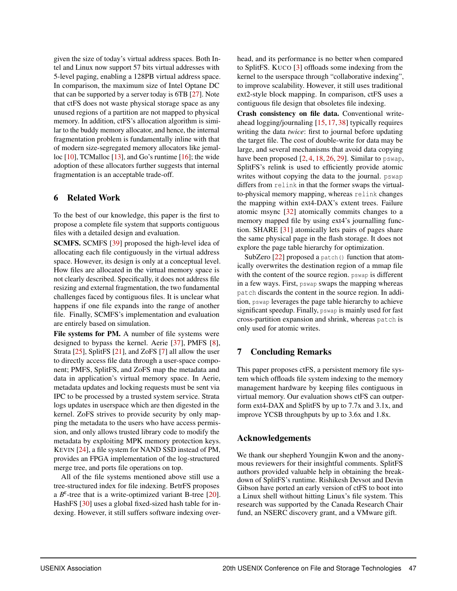given the size of today's virtual address spaces. Both Intel and Linux now support 57 bits virtual addresses with 5-level paging, enabling a 128PB virtual address space. In comparison, the maximum size of Intel Optane DC that can be supported by a server today is 6TB [\[27\]](#page-14-15). Note that ctFS does not waste physical storage space as any unused regions of a partition are not mapped to physical memory. In addition, ctFS's allocation algorithm is similar to the buddy memory allocator, and hence, the internal fragmentation problem is fundamentally inline with that of modern size-segregated memory allocators like jemalloc  $[10]$ , TCMalloc  $[13]$ , and Go's runtime  $[16]$ ; the wide adoption of these allocators further suggests that internal fragmentation is an acceptable trade-off.

#### 6 Related Work

To the best of our knowledge, this paper is the first to propose a complete file system that supports contiguous files with a detailed design and evaluation.

SCMFS. SCMFS [\[39\]](#page-15-3) proposed the high-level idea of allocating each file contiguously in the virtual address space. However, its design is only at a conceptual level. How files are allocated in the virtual memory space is not clearly described. Specifically, it does not address file resizing and external fragmentation, the two fundamental challenges faced by contiguous files. It is unclear what happens if one file expands into the range of another file. Finally, SCMFS's implementation and evaluation are entirely based on simulation.

File systems for PM. A number of file systems were designed to bypass the kernel. Aerie [\[37\]](#page-15-0), PMFS [\[8\]](#page-14-2), Strata [\[25\]](#page-14-4), SplitFS [\[21\]](#page-14-3), and ZoFS [\[7\]](#page-14-1) all allow the user to directly access file data through a user-space component; PMFS, SplitFS, and ZoFS map the metadata and data in application's virtual memory space. In Aerie, metadata updates and locking requests must be sent via IPC to be processed by a trusted system service. Strata logs updates in userspace which are then digested in the kernel. ZoFS strives to provide security by only mapping the metadata to the users who have access permission, and only allows trusted library code to modify the metadata by exploiting MPK memory protection keys. KEVIN [\[24\]](#page-14-19), a file system for NAND SSD instead of PM, provides an FPGA implementation of the log-structured merge tree, and ports file operations on top.

All of the file systems mentioned above still use a tree-structured index for file indexing. B*e*trFS proposes a  $B^{\varepsilon}$ -tree that is a write-optimized variant B-tree [\[20\]](#page-14-20). HashFS [\[30\]](#page-14-21) uses a global fixed-sized hash table for indexing. However, it still suffers software indexing overhead, and its performance is no better when compared to SplitFS. KUCO [\[3\]](#page-14-22) offloads some indexing from the kernel to the userspace through "collaborative indexing", to improve scalability. However, it still uses traditional ext2-style block mapping. In comparison, ctFS uses a contiguous file design that obsoletes file indexing.

Crash consistency on file data. Conventional writeahead logging/journaling [\[15,](#page-14-23) [17,](#page-14-24) [38\]](#page-15-7) typically requires writing the data *twice*: first to journal before updating the target file. The cost of double-write for data may be large, and several mechanisms that avoid data copying have been proposed  $[2, 4, 18, 26, 29]$  $[2, 4, 18, 26, 29]$  $[2, 4, 18, 26, 29]$  $[2, 4, 18, 26, 29]$  $[2, 4, 18, 26, 29]$  $[2, 4, 18, 26, 29]$  $[2, 4, 18, 26, 29]$  $[2, 4, 18, 26, 29]$  $[2, 4, 18, 26, 29]$ . Similar to pswap, SplitFS's relink is used to efficiently provide atomic writes without copying the data to the journal. pswap differs from relink in that the former swaps the virtualto-physical memory mapping, whereas relink changes the mapping within ext4-DAX's extent trees. Failure atomic msync [\[32\]](#page-15-8) atomically commits changes to a memory mapped file by using ext4's journalling function. SHARE [\[31\]](#page-15-9) atomically lets pairs of pages share the same physical page in the flash storage. It does not explore the page table hierarchy for optimization.

SubZero  $[22]$  proposed a patch() function that atomically overwrites the destination region of a mmap file with the content of the source region. pswap is different in a few ways. First, pswap swaps the mapping whereas patch discards the content in the source region. In addition, pswap leverages the page table hierarchy to achieve significant speedup. Finally, pswap is mainly used for fast cross-partition expansion and shrink, whereas patch is only used for atomic writes.

#### 7 Concluding Remarks

This paper proposes ctFS, a persistent memory file system which offloads file system indexing to the memory management hardware by keeping files contiguous in virtual memory. Our evaluation shows ctFS can outperform ext4-DAX and SplitFS by up to 7.7x and 3.1x, and improve YCSB throughputs by up to 3.6x and 1.8x.

#### Acknowledgements

We thank our shepherd Youngjin Kwon and the anonymous reviewers for their insightful comments. SplitFS authors provided valuable help in obtaining the breakdown of SplitFS's runtime. Rishikesh Devsot and Devin Gibson have ported an early version of ctFS to boot into a Linux shell without hitting Linux's file system. This research was supported by the Canada Research Chair fund, an NSERC discovery grant, and a VMware gift.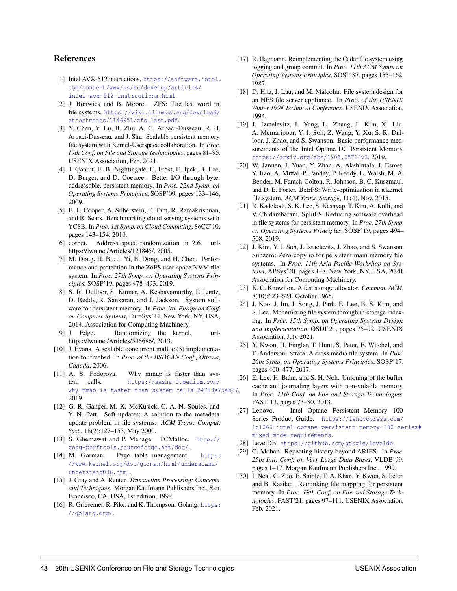#### References

- <span id="page-14-12"></span>[1] Intel AVX-512 instructions. [https://software.intel.](https://software.intel.com/content/www/us/en/develop/articles/intel-avx-512-instructions.html) [com/content/www/us/en/develop/articles/](https://software.intel.com/content/www/us/en/develop/articles/intel-avx-512-instructions.html) [intel-avx-512-instructions.html](https://software.intel.com/content/www/us/en/develop/articles/intel-avx-512-instructions.html).
- <span id="page-14-25"></span>[2] J. Bonwick and B. Moore. ZFS: The last word in file systems. [https://wiki.illumos.org/download/](https://wiki.illumos.org/download/attachments/1146951/zfs_last.pdf) [attachments/1146951/zfs\\_last.pdf](https://wiki.illumos.org/download/attachments/1146951/zfs_last.pdf).
- <span id="page-14-22"></span>[3] Y. Chen, Y. Lu, B. Zhu, A. C. Arpaci-Dusseau, R. H. Arpaci-Dusseau, and J. Shu. Scalable persistent memory file system with Kernel-Userspace collaboration. In *Proc. 19th Conf. on File and Storage Technologies*, pages 81–95. USENIX Association, Feb. 2021.
- <span id="page-14-10"></span>[4] J. Condit, E. B. Nightingale, C. Frost, E. Ipek, B. Lee, D. Burger, and D. Coetzee. Better I/O through byteaddressable, persistent memory. In *Proc. 22nd Symp. on Operating Systems Principles*, SOSP'09, pages 133–146, 2009.
- <span id="page-14-14"></span>[5] B. F. Cooper, A. Silberstein, E. Tam, R. Ramakrishnan, and R. Sears. Benchmarking cloud serving systems with YCSB. In *Proc. 1st Symp. on Cloud Computing*, SoCC'10, pages 143–154, 2010.
- <span id="page-14-8"></span>[6] corbet. Address space randomization in 2.6. urlhttps://lwn.net/Articles/121845/, 2005.
- <span id="page-14-1"></span>[7] M. Dong, H. Bu, J. Yi, B. Dong, and H. Chen. Performance and protection in the ZoFS user-space NVM file system. In *Proc. 27th Symp. on Operating Systems Principles*, SOSP'19, pages 478–493, 2019.
- <span id="page-14-2"></span>[8] S. R. Dulloor, S. Kumar, A. Keshavamurthy, P. Lantz, D. Reddy, R. Sankaran, and J. Jackson. System software for persistent memory. In *Proc. 9th European Conf. on Computer Systems*, EuroSys'14, New York, NY, USA, 2014. Association for Computing Machinery.
- <span id="page-14-9"></span>[9] J. Edge. Randomizing the kernel. urlhttps://lwn.net/Articles/546686/, 2013.
- <span id="page-14-16"></span>[10] J. Evans. A scalable concurrent malloc (3) implementation for freebsd. In *Proc. of the BSDCAN Conf., Ottawa, Canada*, 2006.
- <span id="page-14-5"></span>[11] A. S. Fedorova. Why mmap is faster than system calls. [https://sasha-f.medium.com/](https://sasha-f.medium.com/why-mmap-is-faster-than-system-calls-24718e75ab37) [why-mmap-is-faster-than-system-calls-24718e75ab37](https://sasha-f.medium.com/why-mmap-is-faster-than-system-calls-24718e75ab37), 2019.
- <span id="page-14-11"></span>[12] G. R. Ganger, M. K. McKusick, C. A. N. Soules, and Y. N. Patt. Soft updates: A solution to the metadata update problem in file systems. *ACM Trans. Comput. Syst.*, 18(2):127–153, May 2000.
- <span id="page-14-17"></span>[13] S. Ghemawat and P. Menage. TCMalloc. [http://](http://goog-perftools.sourceforge.net/doc/) [goog-perftools.sourceforge.net/doc/](http://goog-perftools.sourceforge.net/doc/).
- <span id="page-14-7"></span>[14] M. Gorman. Page table management. [https:](https://www.kernel.org/doc/gorman/html/understand/understand006.html) [//www.kernel.org/doc/gorman/html/understand/](https://www.kernel.org/doc/gorman/html/understand/understand006.html) [understand006.html](https://www.kernel.org/doc/gorman/html/understand/understand006.html).
- <span id="page-14-23"></span>[15] J. Gray and A. Reuter. *Transaction Processing: Concepts and Techniques*. Morgan Kaufmann Publishers Inc., San Francisco, CA, USA, 1st edition, 1992.
- <span id="page-14-18"></span>[16] R. Griesemer, R. Pike, and K. Thompson. Golang. [https:](https://golang.org/) [//golang.org/](https://golang.org/).
- <span id="page-14-24"></span>[17] R. Hagmann. Reimplementing the Cedar file system using logging and group commit. In *Proc. 11th ACM Symp. on Operating Systems Principles*, SOSP'87, pages 155–162, 1987.
- <span id="page-14-26"></span>[18] D. Hitz, J. Lau, and M. Malcolm. File system design for an NFS file server appliance. In *Proc. of the USENIX Winter 1994 Technical Conference*. USENIX Association, 1994.
- <span id="page-14-0"></span>[19] J. Izraelevitz, J. Yang, L. Zhang, J. Kim, X. Liu, A. Memaripour, Y. J. Soh, Z. Wang, Y. Xu, S. R. Dulloor, J. Zhao, and S. Swanson. Basic performance measurements of the Intel Optane DC Persistent Memory. <https://arxiv.org/abs/1903.05714v3>, 2019.
- <span id="page-14-20"></span>[20] W. Jannen, J. Yuan, Y. Zhan, A. Akshintala, J. Esmet, Y. Jiao, A. Mittal, P. Pandey, P. Reddy, L. Walsh, M. A. Bender, M. Farach-Colton, R. Johnson, B. C. Kuszmaul, and D. E. Porter. BetrFS: Write-optimization in a kernel file system. *ACM Trans. Storage*, 11(4), Nov. 2015.
- <span id="page-14-3"></span>[21] R. Kadekodi, S. K. Lee, S. Kashyap, T. Kim, A. Kolli, and V. Chidambaram. SplitFS: Reducing software overhead in file systems for persistent memory. In *Proc. 27th Symp. on Operating Systems Principles*, SOSP'19, pages 494– 508, 2019.
- <span id="page-14-29"></span>[22] J. Kim, Y. J. Soh, J. Izraelevitz, J. Zhao, and S. Swanson. Subzero: Zero-copy io for persistent main memory file systems. In *Proc. 11th Asia-Pacific Workshop on Systems*, APSys'20, pages 1–8, New York, NY, USA, 2020. Association for Computing Machinery.
- <span id="page-14-6"></span>[23] K. C. Knowlton. A fast storage allocator. *Commun. ACM*, 8(10):623–624, October 1965.
- <span id="page-14-19"></span>[24] J. Koo, J. Im, J. Song, J. Park, E. Lee, B. S. Kim, and S. Lee. Modernizing file system through in-storage indexing. In *Proc. 15th Symp. on Operating Systems Design and Implementation*, OSDI'21, pages 75–92. USENIX Association, July 2021.
- <span id="page-14-4"></span>[25] Y. Kwon, H. Fingler, T. Hunt, S. Peter, E. Witchel, and T. Anderson. Strata: A cross media file system. In *Proc. 26th Symp. on Operating Systems Principles*, SOSP'17, pages 460–477, 2017.
- <span id="page-14-27"></span>[26] E. Lee, H. Bahn, and S. H. Noh. Unioning of the buffer cache and journaling layers with non-volatile memory. In *Proc. 11th Conf. on File and Storage Technologies*, FAST'13, pages 73–80, 2013.
- <span id="page-14-15"></span>[27] Lenovo. Intel Optane Persistent Memory 100 Series Product Guide. [https://lenovopress.com/](https://lenovopress.com/lp1066-intel-optane-persistent-memory-100-series#mixed-mode-requirements) [lp1066-intel-optane-persistent-memory-100-se](https://lenovopress.com/lp1066-intel-optane-persistent-memory-100-series#mixed-mode-requirements)ries# [mixed-mode-requirements](https://lenovopress.com/lp1066-intel-optane-persistent-memory-100-series#mixed-mode-requirements).
- <span id="page-14-13"></span>[28] LevelDB. <https://github.com/google/leveldb>.
- <span id="page-14-28"></span>[29] C. Mohan. Repeating history beyond ARIES. In *Proc. 25th Intl. Conf. on Very Large Data Bases*, VLDB'99, pages 1–17. Morgan Kaufmann Publishers Inc., 1999.
- <span id="page-14-21"></span>[30] I. Neal, G. Zuo, E. Shiple, T. A. Khan, Y. Kwon, S. Peter, and B. Kasikci. Rethinking file mapping for persistent memory. In *Proc. 19th Conf. on File and Storage Technologies*, FAST'21, pages 97–111. USENIX Association, Feb. 2021.